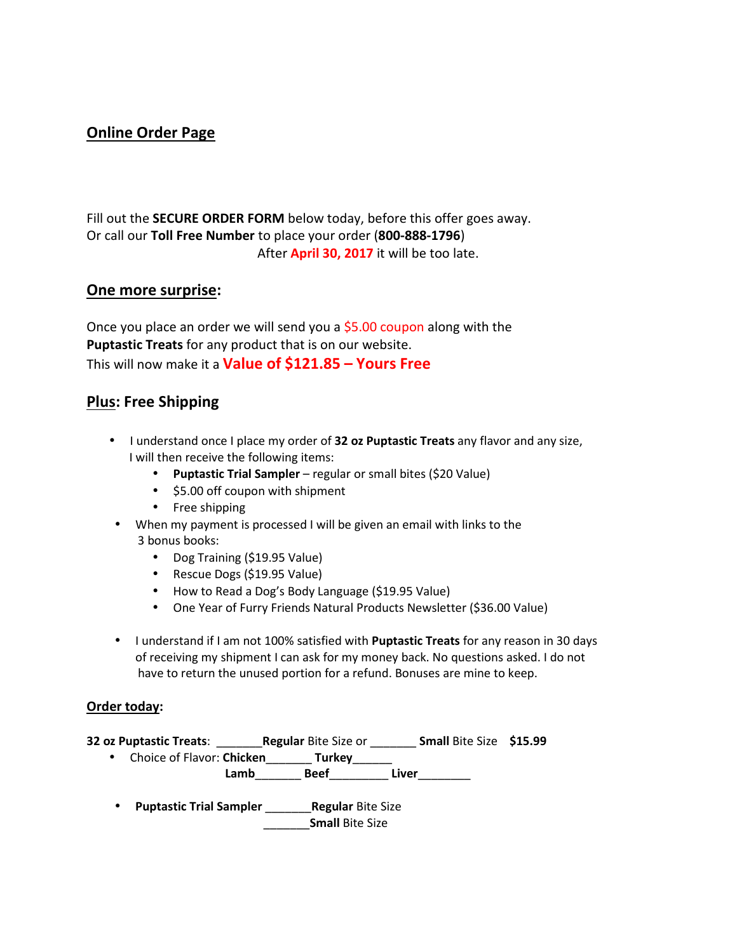# **Online Order Page**

Fill out the **SECURE ORDER FORM** below today, before this offer goes away. Or call our **Toll Free Number** to place your order (**800-888-1796**) After **April 30, 2017** it will be too late.

#### **One more surprise:**

Once you place an order we will send you a \$5.00 coupon along with the **Puptastic Treats** for any product that is on our website. This will now make it a **Value of \$121.85 – Yours Free**

## **Plus: Free Shipping**

- I understand once I place my order of **32 oz Puptastic Treats** any flavor and any size, I will then receive the following items:
	- **Puptastic Trial Sampler** regular or small bites (\$20 Value)
	- \$5.00 off coupon with shipment
	- Free shipping
- When my payment is processed I will be given an email with links to the 3 bonus books:
	- Dog Training (\$19.95 Value)
	- Rescue Dogs (\$19.95 Value)
	- How to Read a Dog's Body Language (\$19.95 Value)
	- One Year of Furry Friends Natural Products Newsletter (\$36.00 Value)
- I understand if I am not 100% satisfied with **Puptastic Treats** for any reason in 30 days of receiving my shipment I can ask for my money back. No questions asked. I do not have to return the unused portion for a refund. Bonuses are mine to keep.

#### **Order today:**

- **32 oz Puptastic Treats**: \_\_\_\_\_\_\_**Regular** Bite Size or \_\_\_\_\_\_\_ **Small** Bite Size **\$15.99**
	- Choice of Flavor: **Chicken**\_\_\_\_\_\_\_ **Turkey**\_\_\_\_\_\_ Lamb **Beef Liver**
	- **Puptastic Trial Sampler** \_\_\_\_\_\_\_**Regular** Bite Size \_\_\_\_\_\_\_**Small** Bite Size